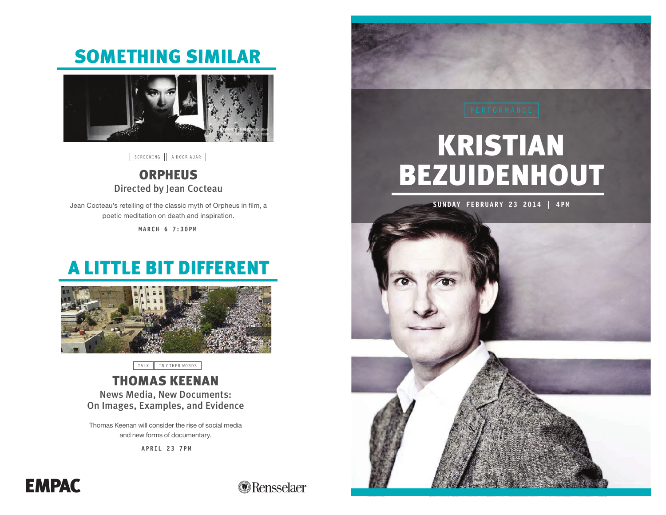## SOMETHING SIMILAR



SCREENING A DOOR AJAR

### **ORPHEUS** Directed by Jean Cocteau

Jean Cocteau's retelling of the classic myth of Orpheus in film, a poetic meditation on death and inspiration.

**M ARCH 6 7:30P M**

## A LITTLE BIT DIFFERENT



TALK || IN OTHER WORDS

## THOMAS KEENAN

News Media, New Documents: On Images, Examples, and Evidence

Thomas Keenan will consider the rise of social media and new forms of documentary.

**APRIL 23 7PM**



# KRISTIAN BEZUIDENHOUT







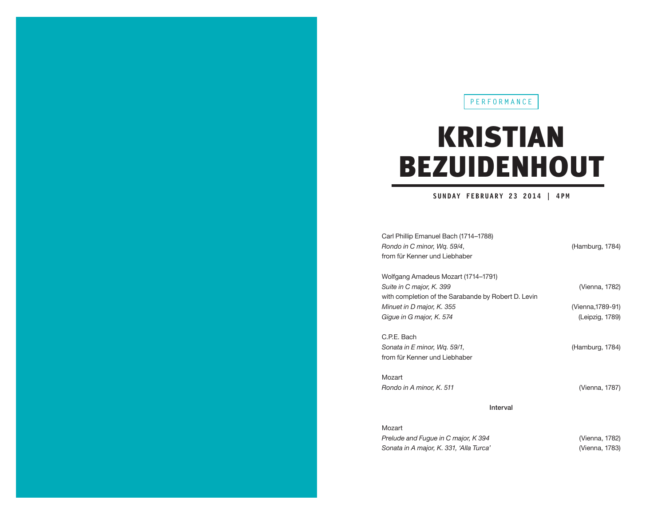#### **PERFORMANCE**

## KRISTIAN BEZUIDENHOUT

#### **SUNDAY FEBRUARY 23 2014 | 4PM**

| Carl Phillip Emanuel Bach (1714–1788)<br>Rondo in C minor, Wq. 59/4,<br>from für Kenner und Liebhaber                  | (Hamburg, 1784)                      |
|------------------------------------------------------------------------------------------------------------------------|--------------------------------------|
| Wolfgang Amadeus Mozart (1714–1791)<br>Suite in C major, K. 399<br>with completion of the Sarabande by Robert D. Levin | (Vienna, 1782)                       |
| Minuet in D major, K. 355<br>Gigue in G major, K. 574                                                                  | (Vienna, 1789-91)<br>(Leipzig, 1789) |
| C.P.E. Bach<br>Sonata in E minor, Wg. 59/1,<br>from für Kenner und Liebhaber                                           | (Hamburg, 1784)                      |
| Mozart                                                                                                                 |                                      |
| Rondo in A minor, K. 511                                                                                               | (Vienna, 1787)                       |
| Interval                                                                                                               |                                      |
| Mozart<br>Prelude and Fugue in C major, K 394                                                                          | (Vienna, 1782)                       |
| Sonata in A major, K. 331, 'Alla Turca'                                                                                | (Vienna, 1783)                       |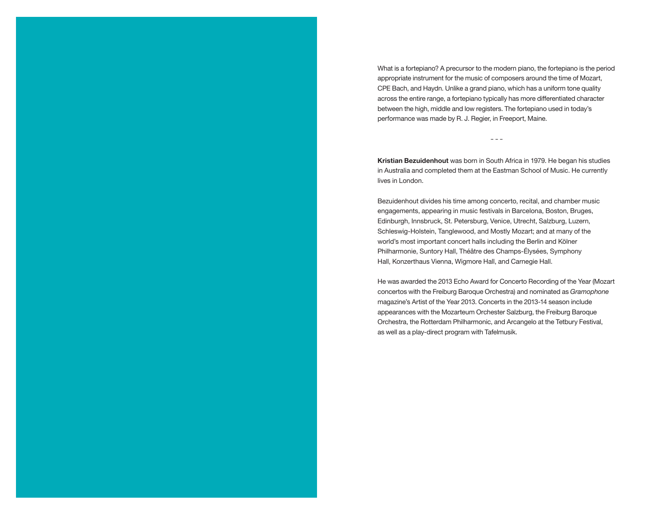What is a fortepiano? A precursor to the modern piano, the fortepiano is the period appropriate instrument for the music of composers around the time of Mozart, CPE Bach, and Haydn. Unlike a grand piano, which has a uniform tone quality across the entire range, a fortepiano typically has more differentiated character between the high, middle and low registers. The fortepiano used in today's performance was made by R. J. Regier, in Freeport, Maine.

**Kristian Bezuidenhout** was born in South Africa in 1979. He began his studies in Australia and completed them at the Eastman School of Music. He currently lives in London.

---

Bezuidenhout divides his time among concerto, recital, and chamber music engagements, appearing in music festivals in Barcelona, Boston, Bruges, Edinburgh, Innsbruck, St. Petersburg, Venice, Utrecht, Salzburg, Luzern, Schleswig-Holstein, Tanglewood, and Mostly Mozart; and at many of the world's most important concert halls including the Berlin and Kölner Philharmonie, Suntory Hall, Théâtre des Champs-Élysées, Symphony Hall, Konzerthaus Vienna, Wigmore Hall, and Carnegie Hall.

He was awarded the 2013 Echo Award for Concerto Recording of the Year (Mozart concertos with the Freiburg Baroque Orchestra) and nominated as *Gramophone* magazine's Artist of the Year 2013. Concerts in the 2013-14 season include appearances with the Mozarteum Orchester Salzburg, the Freiburg Baroque Orchestra, the Rotterdam Philharmonic, and Arcangelo at the Tetbury Festival, as well as a play-direct program with Tafelmusik.